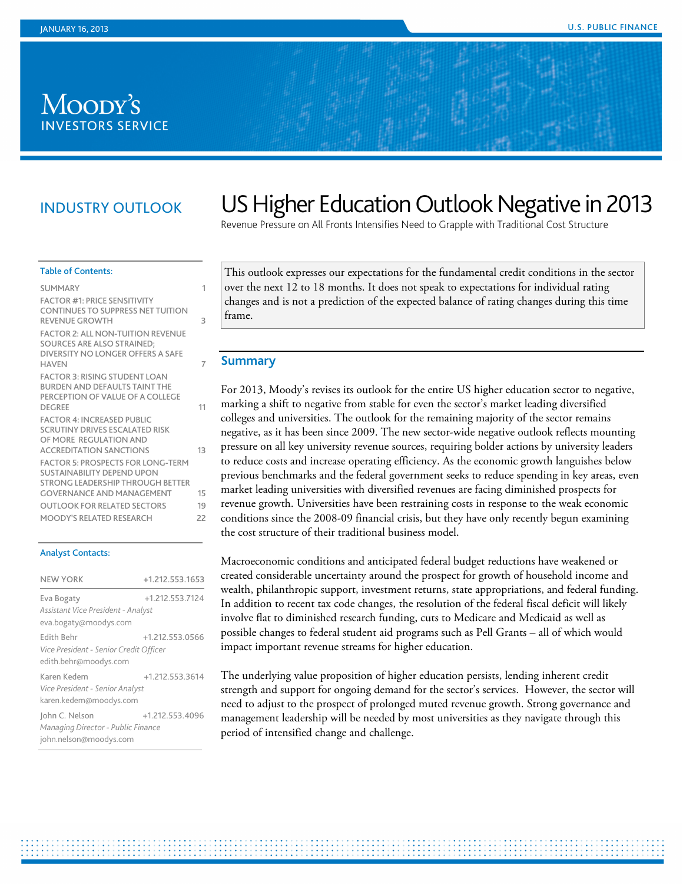## MOODY'S **INVESTORS SERVICE**

## INDUSTRY OUTLOOK

# US Higher Education Outlook Negative in 2013

Revenue Pressure on All Fronts Intensifies Need to Grapple with Traditional Cost Structure

#### Table of Contents:

| <b>SUMMARY</b>                                                                                                                    | 1  |
|-----------------------------------------------------------------------------------------------------------------------------------|----|
| <b>FACTOR #1: PRICE SENSITIVITY</b><br>CONTINUES TO SUPPRESS NET TUITION<br>REVENUE GROWTH                                        | 3  |
| <b>FACTOR 2: ALL NON-TUITION REVENUE</b><br>SOURCES ARE ALSO STRAINED:<br>DIVERSITY NO LONGER OFFERS A SAFE<br><b>HAVEN</b>       | 7  |
| <b>FACTOR 3: RISING STUDENT LOAN</b><br><b>BURDEN AND DEFAULTS TAINT THE</b><br>PERCEPTION OF VALUE OF A COLLEGE<br><b>DEGREE</b> | 11 |
| <b>FACTOR 4: INCREASED PUBLIC</b><br>SCRUTINY DRIVES ESCALATED RISK<br>OF MORE REGUI ATION AND<br><b>ACCREDITATION SANCTIONS</b>  | 13 |
| <b>FACTOR 5: PROSPECTS FOR LONG-TERM</b><br>SUSTAINABILITY DEPEND UPON<br>STRONG I FADERSHIP THROUGH BETTER                       |    |
| <b>GOVERNANCE AND MANAGEMENT</b>                                                                                                  | 15 |
| <b>OUTLOOK FOR RELATED SECTORS</b>                                                                                                | 19 |
| MOODY'S RELATED RESEARCH                                                                                                          | 22 |
|                                                                                                                                   |    |

#### Analyst Contacts:

| <b>NEW YORK</b>                                                                | +1.212.553.1653 |
|--------------------------------------------------------------------------------|-----------------|
| Eva Bogaty<br>Assistant Vice President - Analyst<br>eva.bogaty@moodys.com      | +1.212.553.7124 |
| Edith Behr<br>Vice President - Senior Credit Officer<br>edith.behr@moodys.com  | +1.212.553.0566 |
| Karen Kedem<br>Vice President - Senior Analyst<br>karen.kedem@moodys.com       | +1.212.553.3614 |
| John C. Nelson<br>Managing Director - Public Finance<br>john.nelson@moodys.com | +1.212.553.4096 |

This outlook expresses our expectations for the fundamental credit conditions in the sector over the next 12 to 18 months. It does not speak to expectations for individual rating changes and is not a prediction of the expected balance of rating changes during this time frame.

#### <span id="page-0-0"></span>**Summary**

For 2013, Moody's revises its outlook for the entire US higher education sector to negative, marking a shift to negative from stable for even the sector's market leading diversified colleges and universities. The outlook for the remaining majority of the sector remains negative, as it has been since 2009. The new sector-wide negative outlook reflects mounting pressure on all key university revenue sources, requiring bolder actions by university leaders to reduce costs and increase operating efficiency. As the economic growth languishes below previous benchmarks and the federal government seeks to reduce spending in key areas, even market leading universities with diversified revenues are facing diminished prospects for revenue growth. Universities have been restraining costs in response to the weak economic conditions since the 2008-09 financial crisis, but they have only recently begun examining the cost structure of their traditional business model.

Macroeconomic conditions and anticipated federal budget reductions have weakened or created considerable uncertainty around the prospect for growth of household income and wealth, philanthropic support, investment returns, state appropriations, and federal funding. In addition to recent tax code changes, the resolution of the federal fiscal deficit will likely involve flat to diminished research funding, cuts to Medicare and Medicaid as well as possible changes to federal student aid programs such as Pell Grants – all of which would impact important revenue streams for higher education.

The underlying value proposition of higher education persists, lending inherent credit strength and support for ongoing demand for the sector's services. However, the sector will need to adjust to the prospect of prolonged muted revenue growth. Strong governance and management leadership will be needed by most universities as they navigate through this period of intensified change and challenge.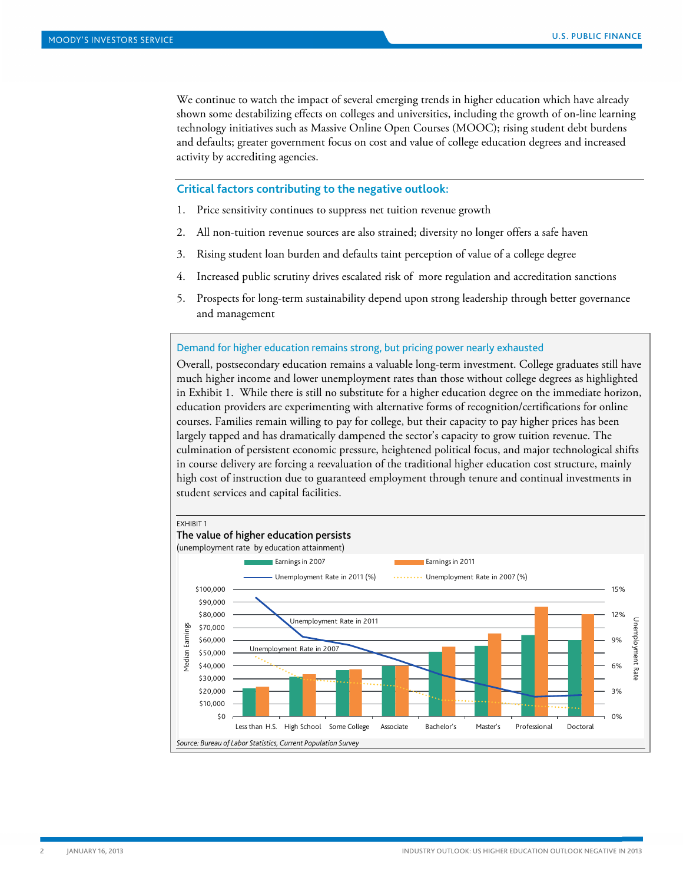We continue to watch the impact of several emerging trends in higher education which have already shown some destabilizing effects on colleges and universities, including the growth of on-line learning technology initiatives such as Massive Online Open Courses (MOOC); rising student debt burdens and defaults; greater government focus on cost and value of college education degrees and increased activity by accrediting agencies.

#### **Critical factors contributing to the negative outlook:**

- 1. Price sensitivity continues to suppress net tuition revenue growth
- 2. All non-tuition revenue sources are also strained; diversity no longer offers a safe haven
- 3. Rising student loan burden and defaults taint perception of value of a college degree
- 4. Increased public scrutiny drives escalated risk of more regulation and accreditation sanctions
- 5. Prospects for long-term sustainability depend upon strong leadership through better governance and management

Demand for higher education remains strong, but pricing power nearly exhausted

Overall, postsecondary education remains a valuable long-term investment. College graduates still have much higher income and lower unemployment rates than those without college degrees as highlighted in Exhibit 1. While there is still no substitute for a higher education degree on the immediate horizon, education providers are experimenting with alternative forms of recognition/certifications for online courses. Families remain willing to pay for college, but their capacity to pay higher prices has been largely tapped and has dramatically dampened the sector's capacity to grow tuition revenue. The culmination of persistent economic pressure, heightened political focus, and major technological shifts in course delivery are forcing a reevaluation of the traditional higher education cost structure, mainly high cost of instruction due to guaranteed employment through tenure and continual investments in student services and capital facilities.

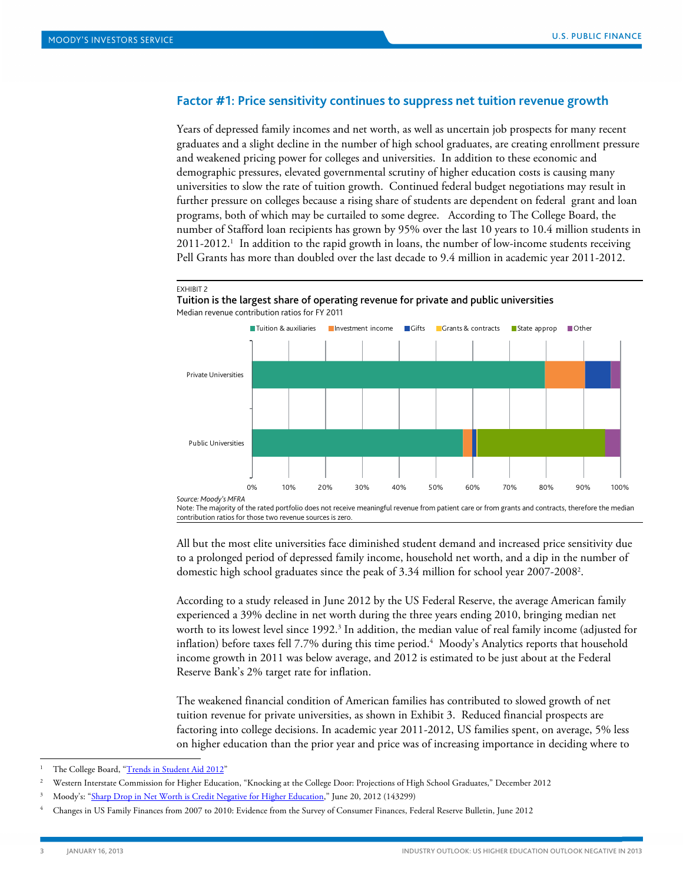## <span id="page-2-0"></span>**Factor #1: Price sensitivity continues to suppress net tuition revenue growth**

Years of depressed family incomes and net worth, as well as uncertain job prospects for many recent graduates and a slight decline in the number of high school graduates, are creating enrollment pressure and weakened pricing power for colleges and universities. In addition to these economic and demographic pressures, elevated governmental scrutiny of higher education costs is causing many universities to slow the rate of tuition growth. Continued federal budget negotiations may result in further pressure on colleges because a rising share of students are dependent on federal grant and loan programs, both of which may be curtailed to some degree. According to The College Board, the number of Stafford loan recipients has grown by 95% over the last 10 years to 10.4 million students in 2011-2012. 1 In addition to the rapid growth in loans, the number of low-income students receiving Pell Grants has more than doubled over the last decade to 9.4 million in academic year 2011-2012.

#### EXHIBIT 2

Tuition is the largest share of operating revenue for private and public universities Median revenue contribution ratios for FY 2011



Note: The majority of the rated portfolio does not receive meaningful revenue from patient care or from grants and contracts, therefore the median contribution ratios for those two revenue sources is zero.

All but the most elite universities face diminished student demand and increased price sensitivity due to a prolonged period of depressed family income, household net worth, and a dip in the number of domestic high school graduates since the peak of 3.34 million for school year 2007-20082 .

According to a study released in June 2012 by the US Federal Reserve, the average American family experienced a 39% decline in net worth during the three years ending 2010, bringing median net worth to its lowest level since 1992.<sup>3</sup> In addition, the median value of real family income (adjusted for inflation) before taxes fell 7.7% during this time period.4 Moody's Analytics reports that household income growth in 2011 was below average, and 2012 is estimated to be just about at the Federal Reserve Bank's 2% target rate for inflation.

The weakened financial condition of American families has contributed to slowed growth of net tuition revenue for private universities, as shown in Exhibit 3. Reduced financial prospects are factoring into college decisions. In academic year 2011-2012, US families spent, on average, 5% less on higher education than the prior year and price was of increasing importance in deciding where to

The College Board, ["Trends in Student Aid 2012"](http://trends.collegeboard.org/sites/default/files/student-aid-2012-full-report.pdf)

<sup>2</sup> Western Interstate Commission for Higher Education, "Knocking at the College Door: Projections of High School Graduates," December 2012

<sup>3</sup> Moody's: ["Sharp Drop in Net Worth is Credit Negative for Higher Education,"](http://www.moodys.com/viewresearchdoc.aspx?docid=PBM_PBM143299) June 20, 2012 (143299)

<sup>4</sup> Changes in US Family Finances from 2007 to 2010: Evidence from the Survey of Consumer Finances, Federal Reserve Bulletin, June 2012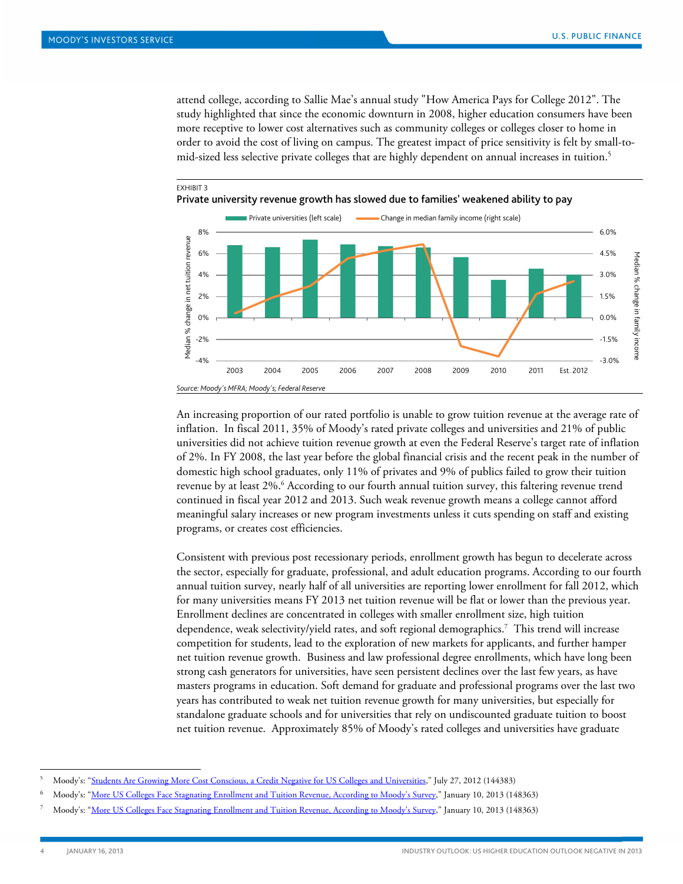attend college, according to Sallie Mae's annual study ["How America Pays for College 2012"](https://www1.salliemae.com/NR/rdonlyres/75C6F178-9B25-48F5-8982-41F9B3F35BF6/0/HowAmericaPays2012.pdf). The study highlighted that since the economic downturn in 2008, higher education consumers have been more receptive to lower cost alternatives such as community colleges or colleges closer to home in order to avoid the cost of living on campus. The greatest impact of price sensitivity is felt by small-tomid-sized less selective private colleges that are highly dependent on annual increases in tuition.<sup>5</sup>



An increasing proportion of our rated portfolio is unable to grow tuition revenue at the average rate of inflation. In fiscal 2011, 35% of Moody's rated private colleges and universities and 21% of public universities did not achieve tuition revenue growth at even the Federal Reserve's target rate of inflation of 2%. In FY 2008, the last year before the global financial crisis and the recent peak in the number of domestic high school graduates, only 11% of privates and 9% of publics failed to grow their tuition revenue by at least 2%.<sup>6</sup> According to our fourth annual tuition survey, this faltering revenue trend continued in fiscal year 2012 and 2013. Such weak revenue growth means a college cannot afford meaningful salary increases or new program investments unless it cuts spending on staff and existing programs, or creates cost efficiencies.

Consistent with previous post recessionary periods, enrollment growth has begun to decelerate across the sector, especially for graduate, professional, and adult education programs. According to our fourth annual tuition survey, nearly half of all universities are reporting lower enrollment for fall 2012, which for many universities means FY 2013 net tuition revenue will be flat or lower than the previous year. Enrollment declines are concentrated in colleges with smaller enrollment size, high tuition dependence, weak selectivity/yield rates, and soft regional demographics.7 This trend will increase competition for students, lead to the exploration of new markets for applicants, and further hamper net tuition revenue growth. Business and law professional degree enrollments, which have long been strong cash generators for universities, have seen persistent declines over the last few years, as have masters programs in education. Soft demand for graduate and professional programs over the last two years has contributed to weak net tuition revenue growth for many universities, but especially for standalone graduate schools and for universities that rely on undiscounted graduate tuition to boost net tuition revenue. Approximately 85% of Moody's rated colleges and universities have graduate

 <sup>5</sup> Moody's: ["Students Are Growing More Cost Conscious, a Credit Negative for US Colleges and Universities,"](http://www.moodys.com/viewresearchdoc.aspx?docid=PBM_PBM144383) July 27, 2012 (144383)

<sup>6</sup> Moody's: ["More US Colleges Face Stagnating Enrollment and Tuition Revenue, According to Moody's Survey,"](http://www.moodys.com/viewresearchdoc.aspx?docid=PBM_PBM148363) January 10, 2013 (148363)

<sup>7</sup> Moody's: ["More US Colleges Face Stagnating Enrollment and Tuition Revenue, According to Moody's Survey,"](http://www.moodys.com/viewresearchdoc.aspx?docid=PBM_PBM148363) January 10, 2013 (148363)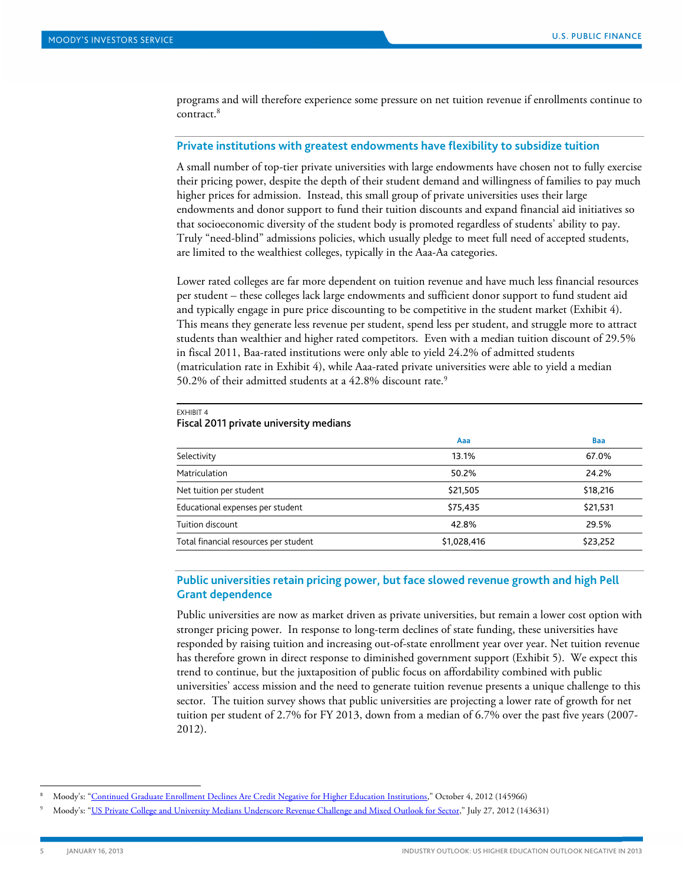programs and will therefore experience some pressure on net tuition revenue if enrollments continue to contract.8

#### **Private institutions with greatest endowments have flexibility to subsidize tuition**

A small number of top-tier private universities with large endowments have chosen not to fully exercise their pricing power, despite the depth of their student demand and willingness of families to pay much higher prices for admission. Instead, this small group of private universities uses their large endowments and donor support to fund their tuition discounts and expand financial aid initiatives so that socioeconomic diversity of the student body is promoted regardless of students' ability to pay. Truly "need-blind" admissions policies, which usually pledge to meet full need of accepted students, are limited to the wealthiest colleges, typically in the Aaa-Aa categories.

Lower rated colleges are far more dependent on tuition revenue and have much less financial resources per student – these colleges lack large endowments and sufficient donor support to fund student aid and typically engage in pure price discounting to be competitive in the student market (Exhibit 4). This means they generate less revenue per student, spend less per student, and struggle more to attract students than wealthier and higher rated competitors. Even with a median tuition discount of 29.5% in fiscal 2011, Baa-rated institutions were only able to yield 24.2% of admitted students (matriculation rate in Exhibit 4), while Aaa-rated private universities were able to yield a median 50.2% of their admitted students at a 42.8% discount rate.<sup>9</sup>

|                                       | Aaa         | <b>Baa</b> |
|---------------------------------------|-------------|------------|
| Selectivity                           | 13.1%       | 67.0%      |
| Matriculation                         | 50.2%       | 24.2%      |
| Net tuition per student               | \$21,505    | \$18,216   |
| Educational expenses per student      | \$75,435    | \$21,531   |
| Tuition discount                      | 42.8%       | 29.5%      |
| Total financial resources per student | \$1,028,416 | \$23,252   |

#### EXHIBIT 4 Fiscal 2011 private university medians

## **Public universities retain pricing power, but face slowed revenue growth and high Pell Grant dependence**

Public universities are now as market driven as private universities, but remain a lower cost option with stronger pricing power. In response to long-term declines of state funding, these universities have responded by raising tuition and increasing out-of-state enrollment year over year. Net tuition revenue has therefore grown in direct response to diminished government support (Exhibit 5). We expect this trend to continue, but the juxtaposition of public focus on affordability combined with public universities' access mission and the need to generate tuition revenue presents a unique challenge to this sector. The tuition survey shows that public universities are projecting a lower rate of growth for net tuition per student of 2.7% for FY 2013, down from a median of 6.7% over the past five years (2007- 2012).

 <sup>8</sup> Moody's: ["Continued Graduate Enrollment Declines Are Credit Negative for Higher Education Institutions,](http://www.moodys.com/viewresearchdoc.aspx?docid=PBM_PBM145966)" October 4, 2012 (145966)

<sup>9</sup> Moody's: ["US Private College and University Medians Underscore Revenue Challenge and Mixed Outlook for Sector,"](http://www.moodys.com/viewresearchdoc.aspx?docid=PBM_PBM143631) July 27, 2012 (143631)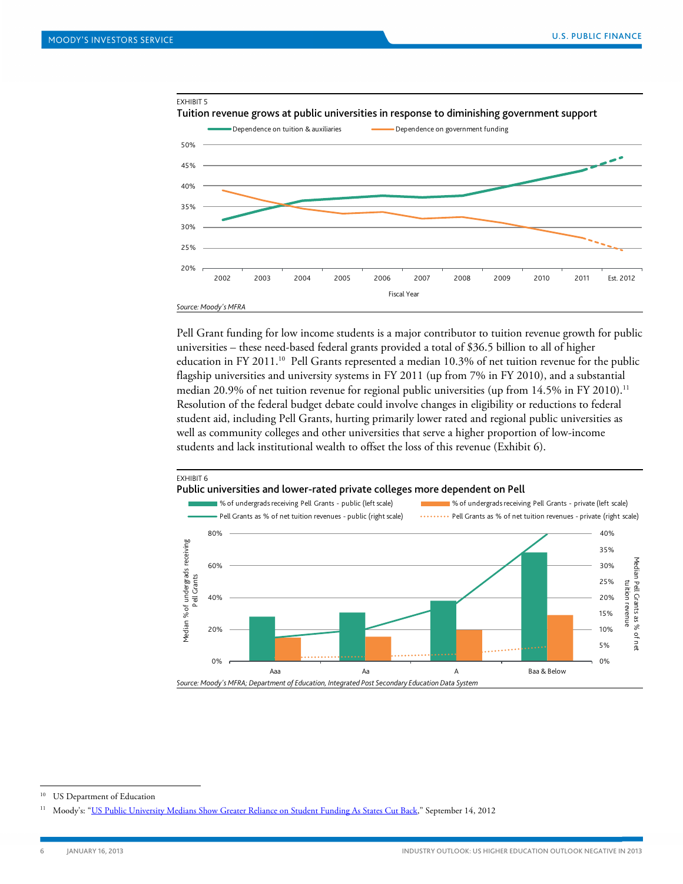

Pell Grant funding for low income students is a major contributor to tuition revenue growth for public universities – these need-based federal grants provided a total of \$36.5 billion to all of higher education in FY 2011.<sup>10</sup> Pell Grants represented a median 10.3% of net tuition revenue for the public flagship universities and university systems in FY 2011 (up from 7% in FY 2010), and a substantial median 20.9% of net tuition revenue for regional public universities (up from  $14.5\%$  in FY 2010).<sup>11</sup> Resolution of the federal budget debate could involve changes in eligibility or reductions to federal student aid, including Pell Grants, hurting primarily lower rated and regional public universities as well as community colleges and other universities that serve a higher proportion of low-income students and lack institutional wealth to offset the loss of this revenue (Exhibit 6).



<sup>&</sup>lt;sup>10</sup> US Department of Education

<sup>&</sup>lt;sup>11</sup> Moody's: "<u>US Public University Medians Show Greater Reliance on Student Funding As States Cut Back</u>," September 14, 2012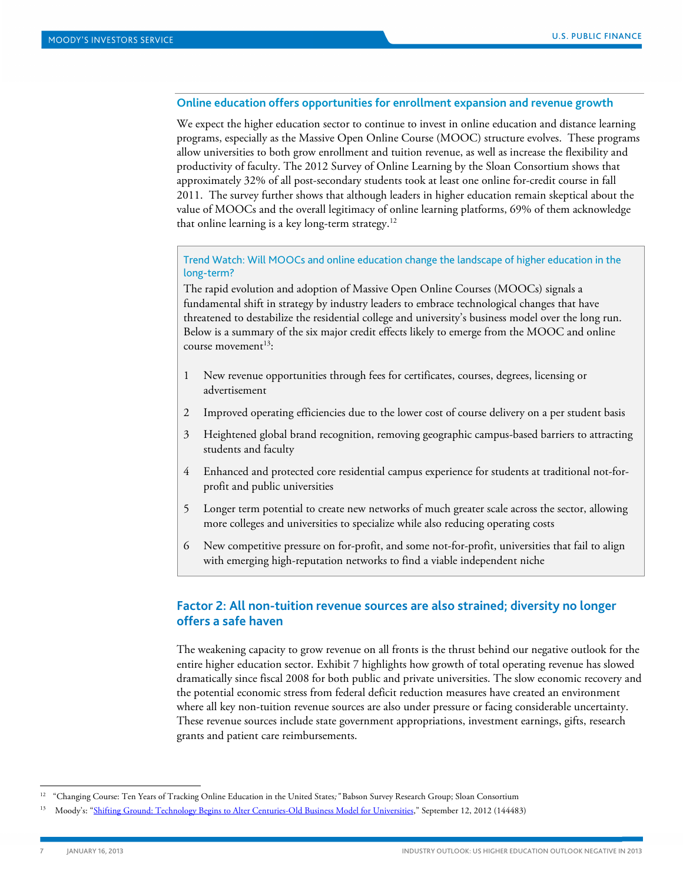## **Online education offers opportunities for enrollment expansion and revenue growth**

We expect the higher education sector to continue to invest in online education and distance learning programs, especially as the Massive Open Online Course (MOOC) structure evolves. These programs allow universities to both grow enrollment and tuition revenue, as well as increase the flexibility and productivity of faculty. The 2012 Survey of Online Learning by the Sloan Consortium shows that approximately 32% of all post-secondary students took at least one online for-credit course in fall 2011. The survey further shows that although leaders in higher education remain skeptical about the value of MOOCs and the overall legitimacy of online learning platforms, 69% of them acknowledge that online learning is a key long-term strategy.12

Trend Watch: Will MOOCs and online education change the landscape of higher education in the long-term?

The rapid evolution and adoption of Massive Open Online Courses (MOOCs) signals a fundamental shift in strategy by industry leaders to embrace technological changes that have threatened to destabilize the residential college and university's business model over the long run. Below is a summary of the six major credit effects likely to emerge from the MOOC and online course movement $13$ :

- 1 New revenue opportunities through fees for certificates, courses, degrees, licensing or advertisement
- 2 Improved operating efficiencies due to the lower cost of course delivery on a per student basis
- 3 Heightened global brand recognition, removing geographic campus-based barriers to attracting students and faculty
- 4 Enhanced and protected core residential campus experience for students at traditional not-forprofit and public universities
- 5 Longer term potential to create new networks of much greater scale across the sector, allowing more colleges and universities to specialize while also reducing operating costs
- 6 New competitive pressure on for-profit, and some not-for-profit, universities that fail to align with emerging high-reputation networks to find a viable independent niche

## <span id="page-6-0"></span>**Factor 2: All non-tuition revenue sources are also strained; diversity no longer offers a safe haven**

The weakening capacity to grow revenue on all fronts is the thrust behind our negative outlook for the entire higher education sector. Exhibit 7 highlights how growth of total operating revenue has slowed dramatically since fiscal 2008 for both public and private universities. The slow economic recovery and the potential economic stress from federal deficit reduction measures have created an environment where all key non-tuition revenue sources are also under pressure or facing considerable uncertainty. These revenue sources include state government appropriations, investment earnings, gifts, research grants and patient care reimbursements.

 <sup>12</sup> "Changing Course: Ten Years of Tracking Online Education in the United States*;"* Babson Survey Research Group; Sloan Consortium

<sup>13</sup> Moody's: ["Shifting Ground: Technology Begins to Alter Centuries-Old Business Model for Universities,"](http://www.moodys.com/viewresearchdoc.aspx?docid=PBM_PBM144483) September 12, 2012 (144483)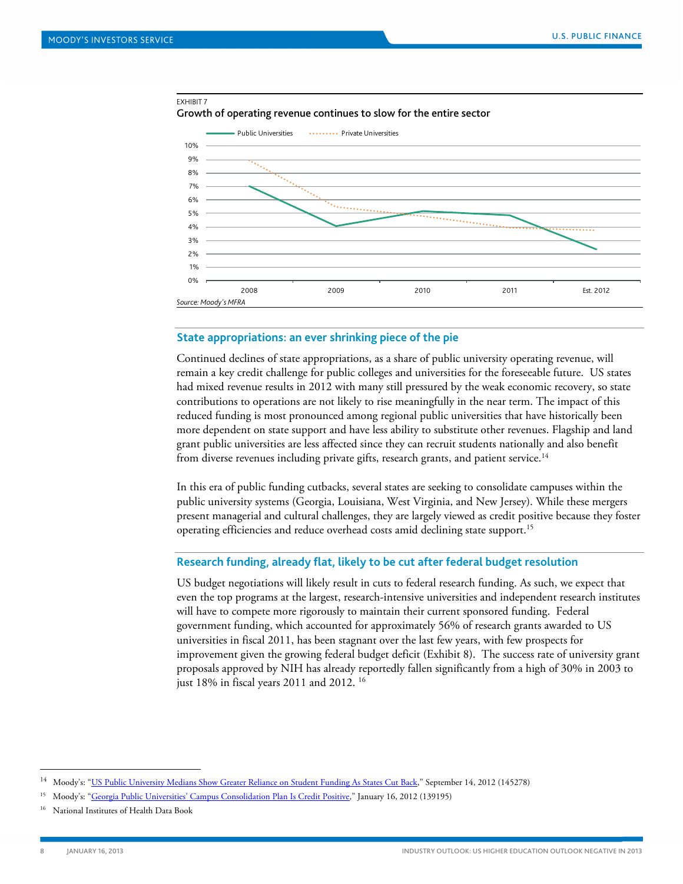#### EXHIBIT 7

Growth of operating revenue continues to slow for the entire sector



#### **State appropriations: an ever shrinking piece of the pie**

Continued declines of state appropriations, as a share of public university operating revenue, will remain a key credit challenge for public colleges and universities for the foreseeable future. US states had mixed revenue results in 2012 with many still pressured by the weak economic recovery, so state contributions to operations are not likely to rise meaningfully in the near term. The impact of this reduced funding is most pronounced among regional public universities that have historically been more dependent on state support and have less ability to substitute other revenues. Flagship and land grant public universities are less affected since they can recruit students nationally and also benefit from diverse revenues including private gifts, research grants, and patient service. $^{14}$ 

In this era of public funding cutbacks, several states are seeking to consolidate campuses within the public university systems (Georgia, Louisiana, West Virginia, and New Jersey). While these mergers present managerial and cultural challenges, they are largely viewed as credit positive because they foster operating efficiencies and reduce overhead costs amid declining state support.<sup>15</sup>

#### **Research funding, already flat, likely to be cut after federal budget resolution**

US budget negotiations will likely result in cuts to federal research funding. As such, we expect that even the top programs at the largest, research-intensive universities and independent research institutes will have to compete more rigorously to maintain their current sponsored funding. Federal government funding, which accounted for approximately 56% of research grants awarded to US universities in fiscal 2011, has been stagnant over the last few years, with few prospects for improvement given the growing federal budget deficit (Exhibit 8). The success rate of university grant proposals approved by NIH has already reportedly fallen significantly from a high of 30% in 2003 to just 18% in fiscal years 2011 and 2012. 16

j

<sup>&</sup>lt;sup>14</sup> Moody's: ["US Public University Medians Show Greater Reliance on Student Funding As States Cut Back,"](http://www.moodys.com/viewresearchdoc.aspx?docid=PBM_PBM145278) September 14, 2012 (145278)

<sup>15</sup> Moody's: ["Georgia Public Universities' Campus Consolidation Plan Is Credit Positive,"](http://www.moodys.com/viewresearchdoc.aspx?docid=PBM_PBM139195) January 16, 2012 (139195)

<sup>&</sup>lt;sup>16</sup> National Institutes of Health Data Book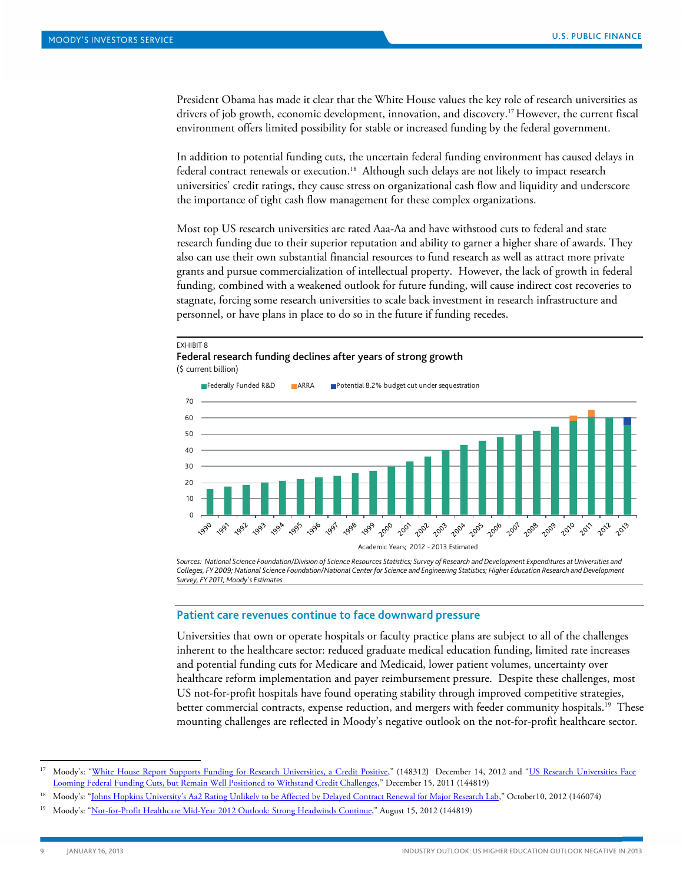President Obama has made it clear that the White House values the key role of research universities as drivers of job growth, economic development, innovation, and discovery.17 However, the current fiscal environment offers limited possibility for stable or increased funding by the federal government.

In addition to potential funding cuts, the uncertain federal funding environment has caused delays in federal contract renewals or execution.<sup>18</sup> Although such delays are not likely to impact research universities' credit ratings, they cause stress on organizational cash flow and liquidity and underscore the importance of tight cash flow management for these complex organizations.

Most top US research universities are rated Aaa-Aa and have withstood cuts to federal and state research funding due to their superior reputation and ability to garner a higher share of awards. They also can use their own substantial financial resources to fund research as well as attract more private grants and pursue commercialization of intellectual property. However, the lack of growth in federal funding, combined with a weakened outlook for future funding, will cause indirect cost recoveries to stagnate, forcing some research universities to scale back investment in research infrastructure and personnel, or have plans in place to do so in the future if funding recedes.

#### EXHIBIT 8 Federal research funding declines after years of strong growth (\$ current billion)



*Sources: National Science Foundation/Division of Science Resources Statistics; Survey of Research and Development Expenditures at Universities and Colleges, FY 2009; National Science Foundation/National Center for Science and Engineering Statistics; Higher Education Research and Development Survey, FY 2011; Moody's Estimates*

#### **Patient care revenues continue to face downward pressure**

Universities that own or operate hospitals or faculty practice plans are subject to all of the challenges inherent to the healthcare sector: reduced graduate medical education funding, limited rate increases and potential funding cuts for Medicare and Medicaid, lower patient volumes, uncertainty over healthcare reform implementation and payer reimbursement pressure. Despite these challenges, most US not-for-profit hospitals have found operating stability through improved competitive strategies, better commercial contracts, expense reduction, and mergers with feeder community hospitals.<sup>19</sup> These mounting challenges are reflected in Moody's negative outlook on the not-for-profit healthcare sector.

<sup>&</sup>lt;sup>17</sup> Moody's: ["White House Report Supports Funding for Research Universities, a Credit Positive,"](http://www.moodys.com/viewresearchdoc.aspx?docid=PBM_PBM148312) (148312) December 14, 2012 and "US Research Universities Face [Looming Federal Funding Cuts, but Remain Well Positioned to Withstand Credit Challenges,"](http://www.moodys.com/viewresearchdoc.aspx?docid=PBM_PBM144819) December 15, 2011 (144819)

<sup>18</sup> Moody's: ["Johns Hopkins University's Aa2 Rating Unlikely to be Affected by Delayed Contract Renewal for Major Research Lab,"](http://www.moodys.com/viewresearchdoc.aspx?docid=PBM_PBM146074) October10, 2012 (146074)

<sup>&</sup>lt;sup>19</sup> Moody's: ["Not-for-Profit Healthcare Mid-Year 2012 Outlook: Strong Headwinds Continue,"](http://www.moodys.com/viewresearchdoc.aspx?docid=PBM_PBM144819) August 15, 2012 (144819)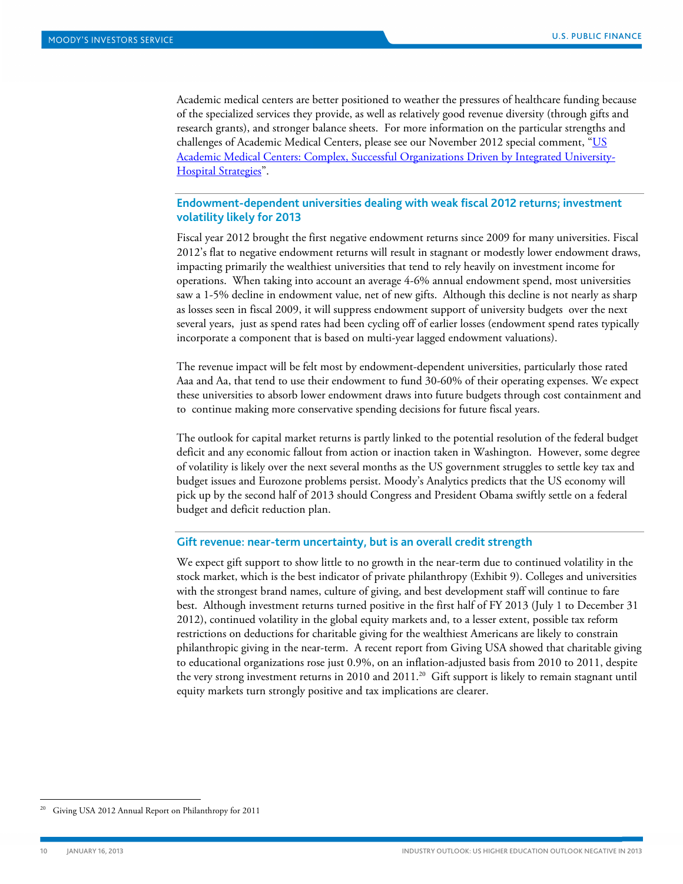Academic medical centers are better positioned to weather the pressures of healthcare funding because of the specialized services they provide, as well as relatively good revenue diversity (through gifts and research grants), and stronger balance sheets. For more information on the particular strengths and challenges of Academic Medical Centers, please see our November 2012 special comment, ["US](http://www.moodys.com/viewresearchdoc.aspx?docid=PBM_PBM146668)  [Academic Medical Centers: Complex, Successful Organizations Driven by Integrated University-](http://www.moodys.com/viewresearchdoc.aspx?docid=PBM_PBM146668)[Hospital Strategies"](http://www.moodys.com/viewresearchdoc.aspx?docid=PBM_PBM146668).

## **Endowment-dependent universities dealing with weak fiscal 2012 returns; investment volatility likely for 2013**

Fiscal year 2012 brought the first negative endowment returns since 2009 for many universities. Fiscal 2012's flat to negative endowment returns will result in stagnant or modestly lower endowment draws, impacting primarily the wealthiest universities that tend to rely heavily on investment income for operations. When taking into account an average 4-6% annual endowment spend, most universities saw a 1-5% decline in endowment value, net of new gifts. Although this decline is not nearly as sharp as losses seen in fiscal 2009, it will suppress endowment support of university budgets over the next several years, just as spend rates had been cycling off of earlier losses (endowment spend rates typically incorporate a component that is based on multi-year lagged endowment valuations).

The revenue impact will be felt most by endowment-dependent universities, particularly those rated Aaa and Aa, that tend to use their endowment to fund 30-60% of their operating expenses. We expect these universities to absorb lower endowment draws into future budgets through cost containment and to continue making more conservative spending decisions for future fiscal years.

The outlook for capital market returns is partly linked to the potential resolution of the federal budget deficit and any economic fallout from action or inaction taken in Washington. However, some degree of volatility is likely over the next several months as the US government struggles to settle key tax and budget issues and Eurozone problems persist. Moody's Analytics predicts that the US economy will pick up by the second half of 2013 should Congress and President Obama swiftly settle on a federal budget and deficit reduction plan.

#### **Gift revenue: near-term uncertainty, but is an overall credit strength**

We expect gift support to show little to no growth in the near-term due to continued volatility in the stock market, which is the best indicator of private philanthropy (Exhibit 9). Colleges and universities with the strongest brand names, culture of giving, and best development staff will continue to fare best. Although investment returns turned positive in the first half of FY 2013 (July 1 to December 31 2012), continued volatility in the global equity markets and, to a lesser extent, possible tax reform restrictions on deductions for charitable giving for the wealthiest Americans are likely to constrain philanthropic giving in the near-term. A recent report from Giving USA showed that charitable giving to educational organizations rose just 0.9%, on an inflation-adjusted basis from 2010 to 2011, despite the very strong investment returns in 2010 and 2011. 20 Gift support is likely to remain stagnant until equity markets turn strongly positive and tax implications are clearer.

 <sup>20</sup> Giving USA 2012 Annual Report on Philanthropy for 2011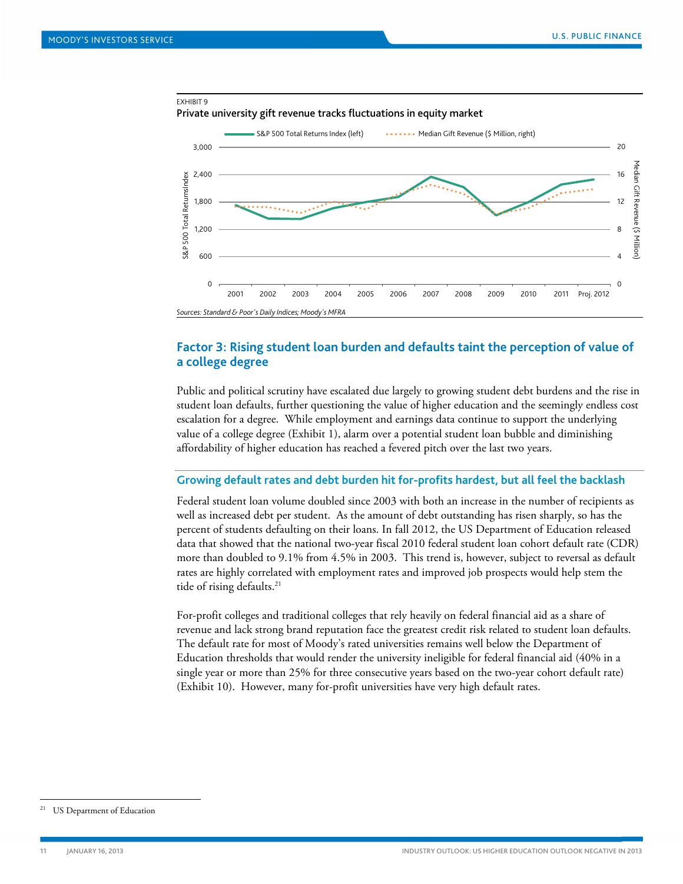

## <span id="page-10-0"></span>**Factor 3: Rising student loan burden and defaults taint the perception of value of a college degree**

Public and political scrutiny have escalated due largely to growing student debt burdens and the rise in student loan defaults, further questioning the value of higher education and the seemingly endless cost escalation for a degree. While employment and earnings data continue to support the underlying value of a college degree (Exhibit 1), alarm over a potential student loan bubble and diminishing affordability of higher education has reached a fevered pitch over the last two years.

#### **Growing default rates and debt burden hit for-profits hardest, but all feel the backlash**

Federal student loan volume doubled since 2003 with both an increase in the number of recipients as well as increased debt per student. As the amount of debt outstanding has risen sharply, so has the percent of students defaulting on their loans. In fall 2012, the US Department of Education released data that showed that the national two-year fiscal 2010 federal student loan cohort default rate (CDR) more than doubled to 9.1% from 4.5% in 2003. This trend is, however, subject to reversal as default rates are highly correlated with employment rates and improved job prospects would help stem the tide of rising defaults.<sup>21</sup>

For-profit colleges and traditional colleges that rely heavily on federal financial aid as a share of revenue and lack strong brand reputation face the greatest credit risk related to student loan defaults. The default rate for most of Moody's rated universities remains well below the Department of Education thresholds that would render the university ineligible for federal financial aid (40% in a single year or more than 25% for three consecutive years based on the two-year cohort default rate) (Exhibit 10). However, many for-profit universities have very high default rates.

<sup>&</sup>lt;sup>21</sup> US Department of Education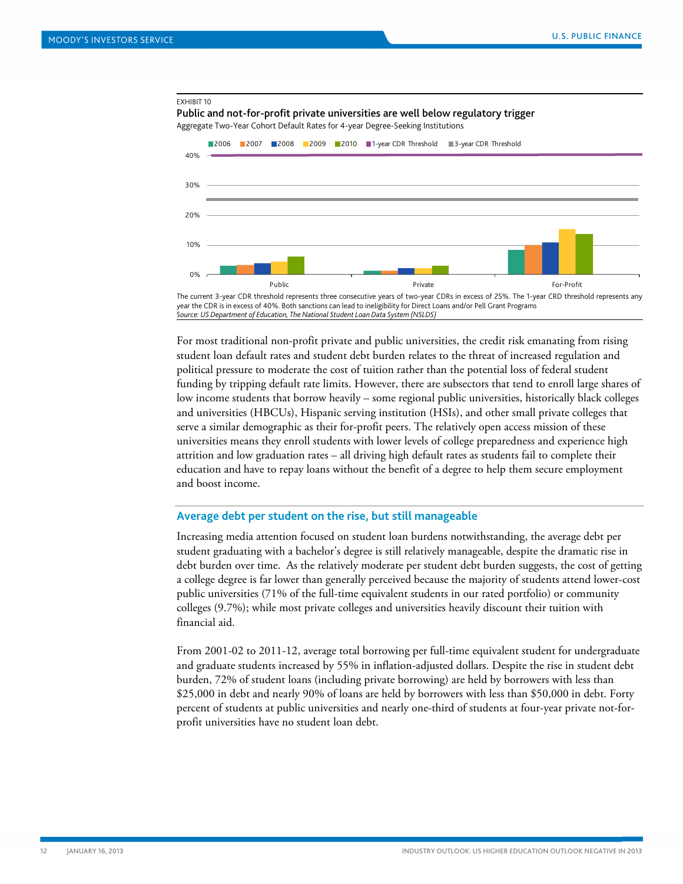

For most traditional non-profit private and public universities, the credit risk emanating from rising student loan default rates and student debt burden relates to the threat of increased regulation and political pressure to moderate the cost of tuition rather than the potential loss of federal student funding by tripping default rate limits. However, there are subsectors that tend to enroll large shares of low income students that borrow heavily – some regional public universities, historically black colleges and universities (HBCUs), Hispanic serving institution (HSIs), and other small private colleges that serve a similar demographic as their for-profit peers. The relatively open access mission of these universities means they enroll students with lower levels of college preparedness and experience high attrition and low graduation rates – all driving high default rates as students fail to complete their education and have to repay loans without the benefit of a degree to help them secure employment and boost income.

#### **Average debt per student on the rise, but still manageable**

Increasing media attention focused on student loan burdens notwithstanding, the average debt per student graduating with a bachelor's degree is still relatively manageable, despite the dramatic rise in debt burden over time. As the relatively moderate per student debt burden suggests, the cost of getting a college degree is far lower than generally perceived because the majority of students attend lower-cost public universities (71% of the full-time equivalent students in our rated portfolio) or community colleges (9.7%); while most private colleges and universities heavily discount their tuition with financial aid.

From 2001-02 to 2011-12, average total borrowing per full-time equivalent student for undergraduate and graduate students increased by 55% in inflation-adjusted dollars. Despite the rise in student debt burden, 72% of student loans (including private borrowing) are held by borrowers with less than \$25,000 in debt and nearly 90% of loans are held by borrowers with less than \$50,000 in debt. Forty percent of students at public universities and nearly one-third of students at four-year private not-forprofit universities have no student loan debt.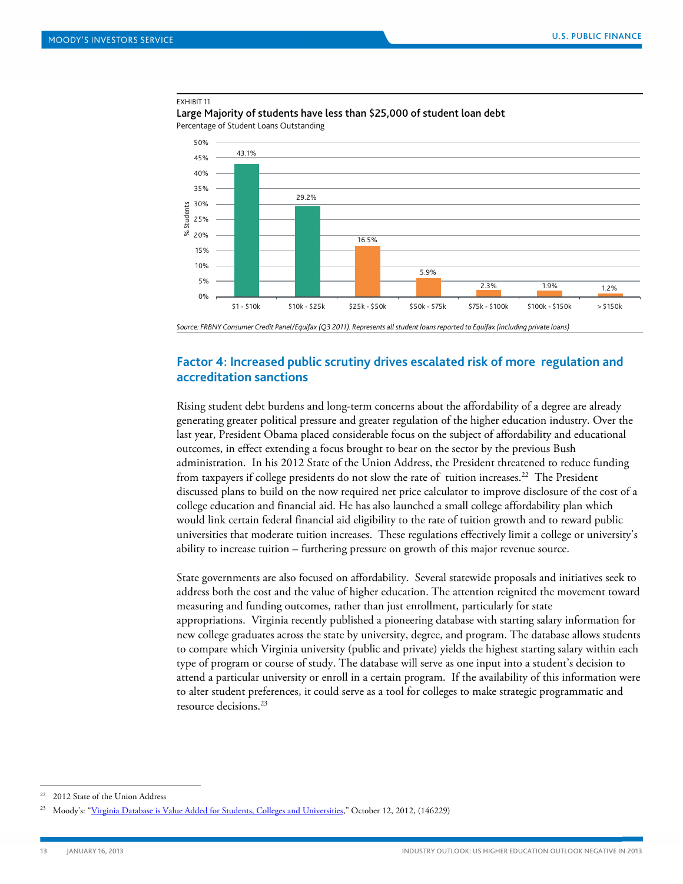#### EXHIBIT 11

Large Majority of students have less than \$25,000 of student loan debt Percentage of Student Loans Outstanding



<span id="page-12-0"></span>*Source: FRBNY Consumer Credit Panel/Equifax (Q3 2011). Represents all student loans reported to Equifax (including private loans)*

## **Factor 4: Increased public scrutiny drives escalated risk of more regulation and accreditation sanctions**

Rising student debt burdens and long-term concerns about the affordability of a degree are already generating greater political pressure and greater regulation of the higher education industry. Over the last year, President Obama placed considerable focus on the subject of affordability and educational outcomes, in effect extending a focus brought to bear on the sector by the previous Bush administration. In his 2012 State of the Union Address, the President threatened to reduce funding from taxpayers if college presidents do not slow the rate of tuition increases.<sup>22</sup> The President discussed plans to build on the now required net price calculator to improve disclosure of the cost of a college education and financial aid. He has also launched a small college affordability plan which would link certain federal financial aid eligibility to the rate of tuition growth and to reward public universities that moderate tuition increases. These regulations effectively limit a college or university's ability to increase tuition – furthering pressure on growth of this major revenue source.

State governments are also focused on affordability. Several statewide proposals and initiatives seek to address both the cost and the value of higher education. The attention reignited the movement toward measuring and funding outcomes, rather than just enrollment, particularly for state appropriations. Virginia recently published a pioneering database with starting salary information for new college graduates across the state by university, degree, and program. The database allows students to compare which Virginia university (public and private) yields the highest starting salary within each type of program or course of study. The database will serve as one input into a student's decision to attend a particular university or enroll in a certain program. If the availability of this information were to alter student preferences, it could serve as a tool for colleges to make strategic programmatic and resource decisions.23

<sup>&</sup>lt;sup>22</sup> 2012 State of the Union Address

<sup>&</sup>lt;sup>23</sup> Moody's: ["Virginia Database is Value Added for Students, Colleges and Universities,"](http://www.moodys.com/viewresearchdoc.aspx?docid=PBM_PBM146229) October 12, 2012, (146229)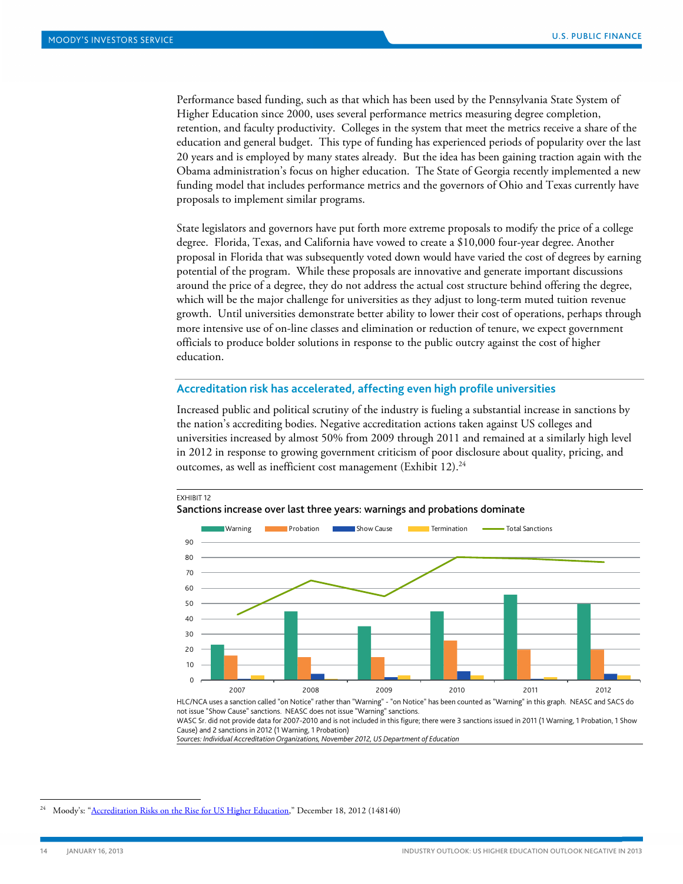Performance based funding, such as that which has been used by the Pennsylvania State System of Higher Education since 2000, uses several performance metrics measuring degree completion, retention, and faculty productivity. Colleges in the system that meet the metrics receive a share of the education and general budget. This type of funding has experienced periods of popularity over the last 20 years and is employed by many states already. But the idea has been gaining traction again with the Obama administration's focus on higher education. The State of Georgia recently implemented a new funding model that includes performance metrics and the governors of Ohio and Texas currently have proposals to implement similar programs.

State legislators and governors have put forth more extreme proposals to modify the price of a college degree. Florida, Texas, and California have vowed to create a \$10,000 four-year degree. Another proposal in Florida that was subsequently voted down would have varied the cost of degrees by earning potential of the program. While these proposals are innovative and generate important discussions around the price of a degree, they do not address the actual cost structure behind offering the degree, which will be the major challenge for universities as they adjust to long-term muted tuition revenue growth. Until universities demonstrate better ability to lower their cost of operations, perhaps through more intensive use of on-line classes and elimination or reduction of tenure, we expect government officials to produce bolder solutions in response to the public outcry against the cost of higher education.

#### **Accreditation risk has accelerated, affecting even high profile universities**

Increased public and political scrutiny of the industry is fueling a substantial increase in sanctions by the nation's accrediting bodies. Negative accreditation actions taken against US colleges and universities increased by almost 50% from 2009 through 2011 and remained at a similarly high level in 2012 in response to growing government criticism of poor disclosure about quality, pricing, and outcomes, as well as inefficient cost management (Exhibit 12).<sup>24</sup>



HLC/NCA uses a sanction called "on Notice" rather than "Warning" - "on Notice" has been counted as "Warning" in this graph. NEASC and SACS do not issue "Show Cause" sanctions. NEASC does not issue "Warning" sanctions.

WASC Sr. did not provide data for 2007-2010 and is not included in this figure; there were 3 sanctions issued in 2011 (1 Warning, 1 Probation, 1 Show Cause) and 2 sanctions in 2012 (1 Warning, 1 Probation)

*Sources: Individual Accreditation Organizations, November 2012, US Department of Education*

<sup>&</sup>lt;sup>24</sup> Moody's: ["Accreditation Risks on the Rise for US Higher Education,](http://www.moodys.com/viewresearchdoc.aspx?docid=PBM_PBM148140)" December 18, 2012 (148140)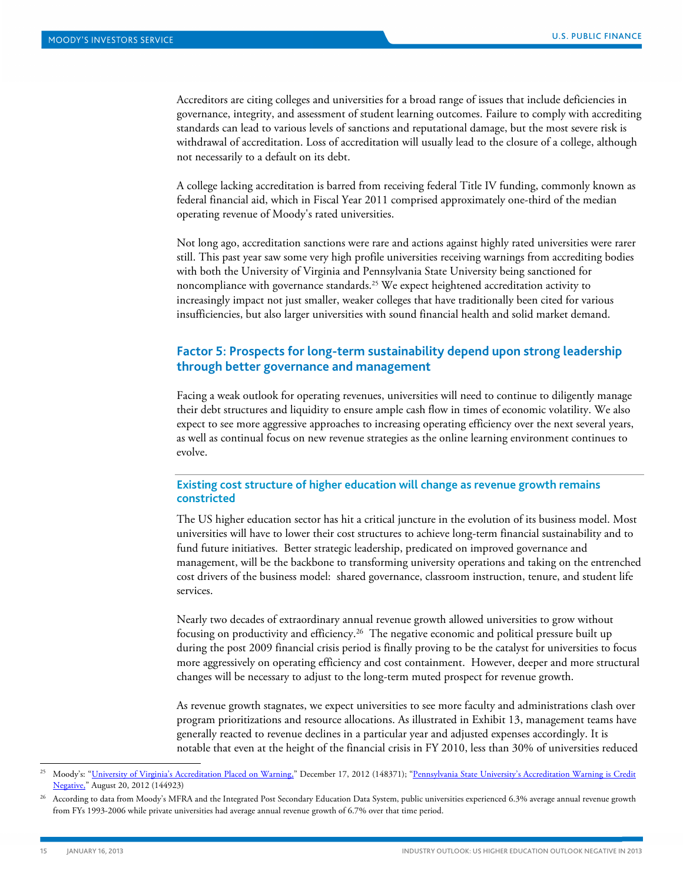Accreditors are citing colleges and universities for a broad range of issues that include deficiencies in governance, integrity, and assessment of student learning outcomes. Failure to comply with accrediting standards can lead to various levels of sanctions and reputational damage, but the most severe risk is withdrawal of accreditation. Loss of accreditation will usually lead to the closure of a college, although not necessarily to a default on its debt.

A college lacking accreditation is barred from receiving federal Title IV funding, commonly known as federal financial aid, which in Fiscal Year 2011 comprised approximately one-third of the median operating revenue of Moody's rated universities.

Not long ago, accreditation sanctions were rare and actions against highly rated universities were rarer still. This past year saw some very high profile universities receiving warnings from accrediting bodies with both the University of Virginia and Pennsylvania State University being sanctioned for noncompliance with governance standards.<sup>25</sup> We expect heightened accreditation activity to increasingly impact not just smaller, weaker colleges that have traditionally been cited for various insufficiencies, but also larger universities with sound financial health and solid market demand.

## <span id="page-14-0"></span>**Factor 5: Prospects for long-term sustainability depend upon strong leadership through better governance and management**

Facing a weak outlook for operating revenues, universities will need to continue to diligently manage their debt structures and liquidity to ensure ample cash flow in times of economic volatility. We also expect to see more aggressive approaches to increasing operating efficiency over the next several years, as well as continual focus on new revenue strategies as the online learning environment continues to evolve.

## **Existing cost structure of higher education will change as revenue growth remains constricted**

The US higher education sector has hit a critical juncture in the evolution of its business model. Most universities will have to lower their cost structures to achieve long-term financial sustainability and to fund future initiatives. Better strategic leadership, predicated on improved governance and management, will be the backbone to transforming university operations and taking on the entrenched cost drivers of the business model: shared governance, classroom instruction, tenure, and student life services.

Nearly two decades of extraordinary annual revenue growth allowed universities to grow without focusing on productivity and efficiency.26 The negative economic and political pressure built up during the post 2009 financial crisis period is finally proving to be the catalyst for universities to focus more aggressively on operating efficiency and cost containment. However, deeper and more structural changes will be necessary to adjust to the long-term muted prospect for revenue growth.

As revenue growth stagnates, we expect universities to see more faculty and administrations clash over program prioritizations and resource allocations. As illustrated in Exhibit 13, management teams have generally reacted to revenue declines in a particular year and adjusted expenses accordingly. It is notable that even at the height of the financial crisis in FY 2010, less than 30% of universities reduced

Moody's: ["University of Virginia's Accreditation Placed on Warning,"](http://www.moodys.com/viewresearchdoc.aspx?docid=PBM_PBM148371) December 17, 2012 (148371); "Pennsylvania State University's Accreditation Warning is Credit [Negative,"](http://www.moodys.com/viewresearchdoc.aspx?docid=PBM_PBM144923) August 20, 2012 (144923)

<sup>26</sup> According to data from Moody's MFRA and the Integrated Post Secondary Education Data System, public universities experienced 6.3% average annual revenue growth from FYs 1993-2006 while private universities had average annual revenue growth of 6.7% over that time period.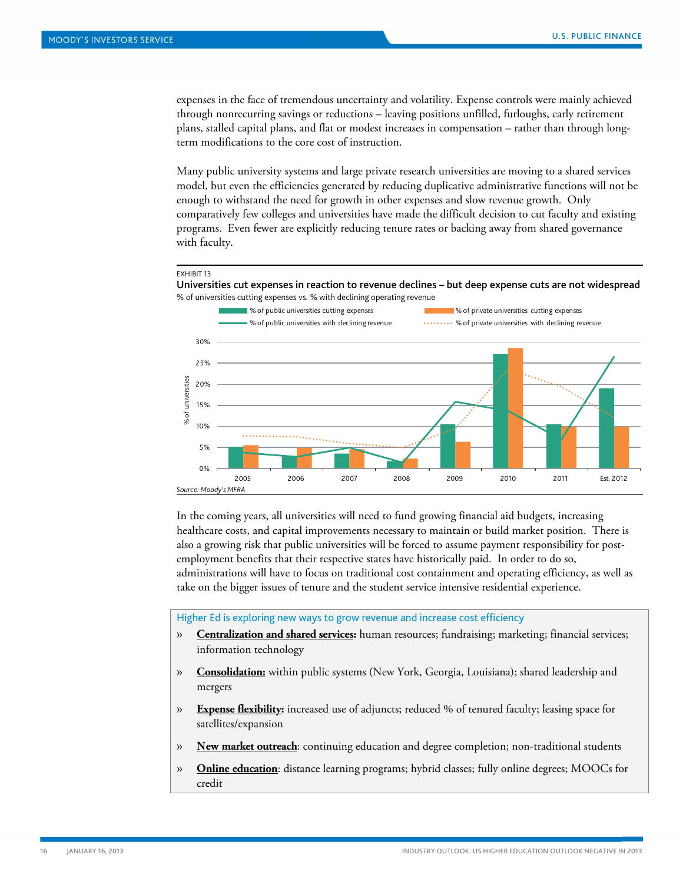expenses in the face of tremendous uncertainty and volatility. Expense controls were mainly achieved through nonrecurring savings or reductions – leaving positions unfilled, furloughs, early retirement plans, stalled capital plans, and flat or modest increases in compensation – rather than through longterm modifications to the core cost of instruction.

Many public university systems and large private research universities are moving to a shared services model, but even the efficiencies generated by reducing duplicative administrative functions will not be enough to withstand the need for growth in other expenses and slow revenue growth. Only comparatively few colleges and universities have made the difficult decision to cut faculty and existing programs. Even fewer are explicitly reducing tenure rates or backing away from shared governance with faculty.



Universities cut expenses in reaction to revenue declines – but deep expense cuts are not widespread % of universities cutting expenses vs. % with declining operating revenue



In the coming years, all universities will need to fund growing financial aid budgets, increasing healthcare costs, and capital improvements necessary to maintain or build market position. There is also a growing risk that public universities will be forced to assume payment responsibility for postemployment benefits that their respective states have historically paid. In order to do so, administrations will have to focus on traditional cost containment and operating efficiency, as well as take on the bigger issues of tenure and the student service intensive residential experience.

Higher Ed is exploring new ways to grow revenue and increase cost efficiency

- » **Centralization and shared services :** human resources; fundraising; marketing; financial services; information technology
- » **Consolidation:** within public systems (New York, Georgia, Louisiana); shared leadership and mergers
- » **Expense flexibility :** increased use of adjuncts; reduced % of tenured faculty; leasing space for satellites/expansion
- » **New market outreach** : continuing education and degree completion; non-traditional students
- » **Online education** : distance learning programs; hybrid classes; fully online degrees; MOOCs for credit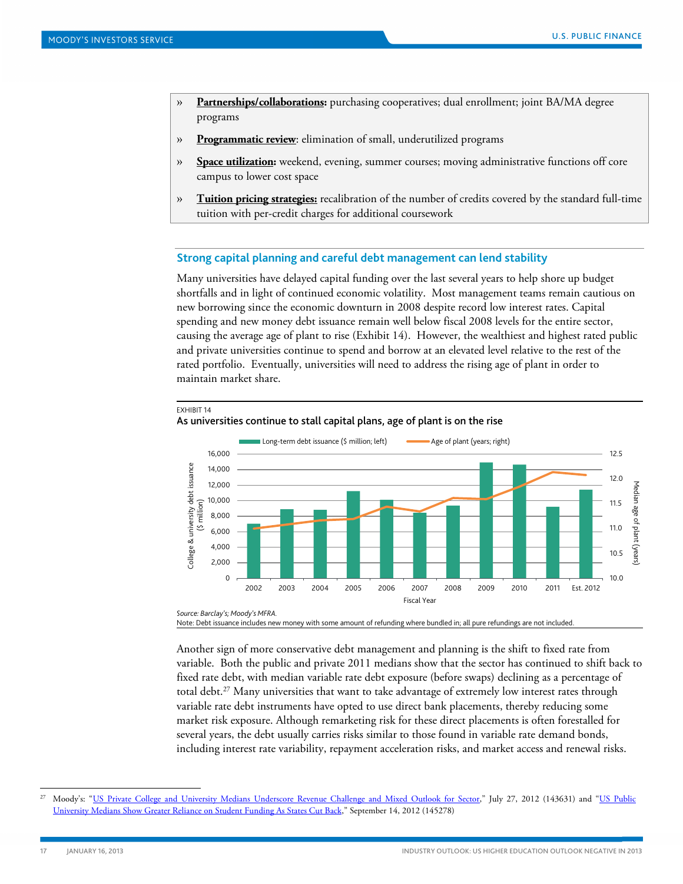- » **Partnerships/collaborations :** purchasing cooperatives; dual enrollment; joint BA/MA degree programs
- » **Programmatic review** : elimination of small, underutilized programs
- » **Space utilization :** weekend, evening, summer courses; moving administrative functions off core campus to lower cost space
- » **Tuition pricing strategies:** recalibration of the number of credits covered by the standard full-time tuition with per-credit charges for additional coursework

#### **Strong capital planning and careful debt management can lend stability**

Many universities have delayed capital funding over the last several years to help shore up budget shortfalls and in light of continued economic volatility. Most management teams remain cautious on new borrowing since the economic downturn in 2008 despite record low interest rates. Capital spending and new money debt issuance remain well below fiscal 2008 levels for the entire sector, causing the average age of plant to rise (Exhibit 14). However, the wealthiest and highest rated public and private universities continue to spend and borrow at an elevated level relative to the rest of the rated portfolio. Eventually, universities will need to address the rising age of plant in order to maintain market share.



#### EXHIBIT 14 As universities continue to stall capital plans, age of plant is on the rise

Note: Debt issuance includes new money with some amount of refunding where bundled in; all pure refundings are not included.

Another sign of more conservative debt management and planning is the shift to fixed rate from variable. Both the public and private 2011 medians show that the sector has continued to shift back to fixed rate debt, with median variable rate debt exposure (before swaps) declining as a percentage of total debt.<sup>27</sup> Many universities that want to take advantage of extremely low interest rates through variable rate debt instruments have opted to use direct bank placements, thereby reducing some market risk exposure. Although remarketing risk for these direct placements is often forestalled for several years, the debt usually carries risks similar to those found in variable rate demand bonds, including interest rate variability, repayment acceleration risks, and market access and renewal risks.

Moody's: ["US Private College and University Medians Underscore Revenue Challenge and Mixed Outlook for Sector,](http://www.moodys.com/viewresearchdoc.aspx?docid=PBM_PBM143631)" July 27, 2012 (143631) and "US Public [University Medians Show Greater Reliance on Student Funding As States Cut Back,"](http://www.moodys.com/viewresearchdoc.aspx?docid=PBM_PBM145278) September 14, 2012 (145278)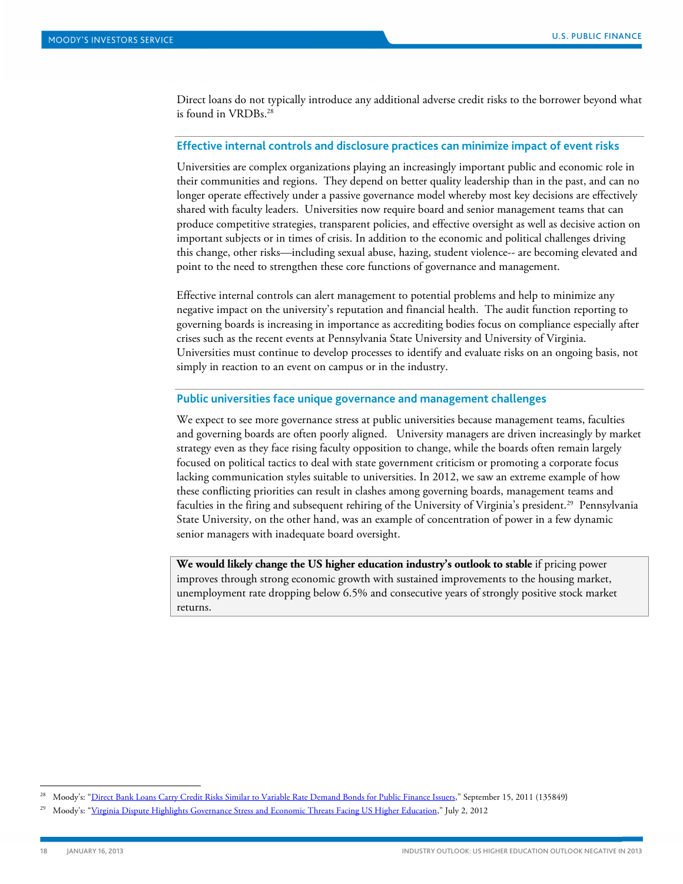Direct loans do not typically introduce any additional adverse credit risks to the borrower beyond what is found in VRDBs<sup>28</sup>

#### **Effective internal controls and disclosure practices can minimize impact of event risks**

Universities are complex organizations playing an increasingly important public and economic role in their communities and regions. They depend on better quality leadership than in the past, and can no longer operate effectively under a passive governance model whereby most key decisions are effectively shared with faculty leaders. Universities now require board and senior management teams that can produce competitive strategies, transparent policies, and effective oversight as well as decisive action on important subjects or in times of crisis. In addition to the economic and political challenges driving this change, other risks—including sexual abuse, hazing, student violence-- are becoming elevated and point to the need to strengthen these core functions of governance and management.

Effective internal controls can alert management to potential problems and help to minimize any negative impact on the university's reputation and financial health. The audit function reporting to governing boards is increasing in importance as accrediting bodies focus on compliance especially after crises such as the recent events at Pennsylvania State University and University of Virginia. Universities must continue to develop processes to identify and evaluate risks on an ongoing basis, not simply in reaction to an event on campus or in the industry.

#### **Public universities face unique governance and management challenges**

We expect to see more governance stress at public universities because management teams, faculties and governing boards are often poorly aligned. University managers are driven increasingly by market strategy even as they face rising faculty opposition to change, while the boards often remain largely focused on political tactics to deal with state government criticism or promoting a corporate focus lacking communication styles suitable to universities. In 2012, we saw an extreme example of how these conflicting priorities can result in clashes among governing boards, management teams and faculties in the firing and subsequent rehiring of the University of Virginia's president.<sup>29</sup> Pennsylvania State University, on the other hand, was an example of concentration of power in a few dynamic senior managers with inadequate board oversight.

**We would likely change the US higher education industry's outlook to stable** if pricing power improves through strong economic growth with sustained improvements to the housing market, unemployment rate dropping below 6.5% and consecutive years of strongly positive stock market returns.

 <sup>28</sup> Moody's: ["Direct Bank Loans Carry Credit Risks Similar to Variable Rate Demand Bonds for Public Finance Issuers,"](http://www.moodys.com/viewresearchdoc.aspx?docid=PBM_PBM135849) September 15, 2011 (135849)

<sup>29</sup> Moody's: "Virginia [Dispute Highlights Governance Stress and Economic Threats Facing US Higher Education,"](http://www.moodys.com/viewresearchdoc.aspx?docid=PBM_PBM143539) July 2, 2012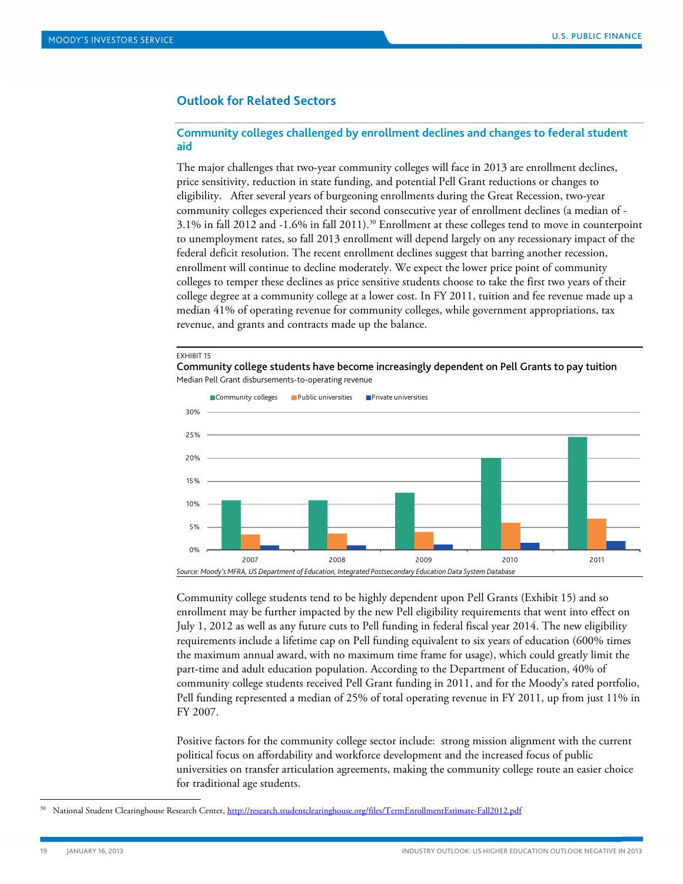## <span id="page-18-0"></span>**Outlook for Related Sectors**

## **Community colleges challenged by enrollment declines and changes to federal student aid**

The major challenges that two-year community colleges will face in 2013 are enrollment declines, price sensitivity, reduction in state funding, and potential Pell Grant reductions or changes to eligibility. After several years of burgeoning enrollments during the Great Recession, two-year community colleges experienced their second consecutive year of enrollment declines (a median of - 3.1% in fall 2012 and -1.6% in fall 2011).30 Enrollment at these colleges tend to move in counterpoint to unemployment rates, so fall 2013 enrollment will depend largely on any recessionary impact of the federal deficit resolution. The recent enrollment declines suggest that barring another recession, enrollment will continue to decline moderately. We expect the lower price point of community colleges to temper these declines as price sensitive students choose to take the first two years of their college degree at a community college at a lower cost. In FY 2011, tuition and fee revenue made up a median 41% of operating revenue for community colleges, while government appropriations, tax revenue, and grants and contracts made up the balance.

#### EXHIBIT 15

Community college students have become increasingly dependent on Pell Grants to pay tuition Median Pell Grant disbursements-to-operating revenue



Community college students tend to be highly dependent upon Pell Grants (Exhibit 15) and so enrollment may be further impacted by the new Pell eligibility requirements that went into effect on July 1, 2012 as well as any future cuts to Pell funding in federal fiscal year 2014. The new eligibility requirements include a lifetime cap on Pell funding equivalent to six years of education (600% times the maximum annual award, with no maximum time frame for usage), which could greatly limit the part-time and adult education population. According to the Department of Education, 40% of community college students received Pell Grant funding in 2011, and for the Moody's rated portfolio, Pell funding represented a median of 25% of total operating revenue in FY 2011, up from just 11% in FY 2007.

Positive factors for the community college sector include: strong mission alignment with the current political focus on affordability and workforce development and the increased focus of public universities on transfer articulation agreements, making the community college route an easier choice for traditional age students.

National Student Clearinghouse Research Center,<http://research.studentclearinghouse.org/files/TermEnrollmentEstimate-Fall2012.pdf>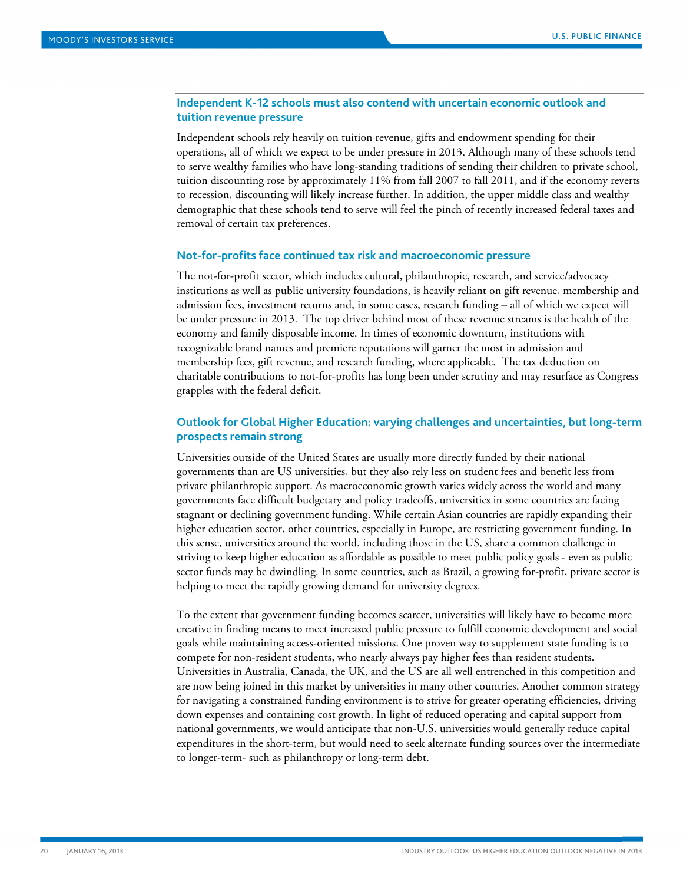## **Independent K-12 schools must also contend with uncertain economic outlook and tuition revenue pressure**

Independent schools rely heavily on tuition revenue, gifts and endowment spending for their operations, all of which we expect to be under pressure in 2013. Although many of these schools tend to serve wealthy families who have long-standing traditions of sending their children to private school, tuition discounting rose by approximately 11% from fall 2007 to fall 2011, and if the economy reverts to recession, discounting will likely increase further. In addition, the upper middle class and wealthy demographic that these schools tend to serve will feel the pinch of recently increased federal taxes and removal of certain tax preferences.

#### **Not-for-profits face continued tax risk and macroeconomic pressure**

The not-for-profit sector, which includes cultural, philanthropic, research, and service/advocacy institutions as well as public university foundations, is heavily reliant on gift revenue, membership and admission fees, investment returns and, in some cases, research funding – all of which we expect will be under pressure in 2013. The top driver behind most of these revenue streams is the health of the economy and family disposable income. In times of economic downturn, institutions with recognizable brand names and premiere reputations will garner the most in admission and membership fees, gift revenue, and research funding, where applicable. The tax deduction on charitable contributions to not-for-profits has long been under scrutiny and may resurface as Congress grapples with the federal deficit.

## **Outlook for Global Higher Education: varying challenges and uncertainties, but long-term prospects remain strong**

Universities outside of the United States are usually more directly funded by their national governments than are US universities, but they also rely less on student fees and benefit less from private philanthropic support. As macroeconomic growth varies widely across the world and many governments face difficult budgetary and policy tradeoffs, universities in some countries are facing stagnant or declining government funding. While certain Asian countries are rapidly expanding their higher education sector, other countries, especially in Europe, are restricting government funding. In this sense, universities around the world, including those in the US, share a common challenge in striving to keep higher education as affordable as possible to meet public policy goals - even as public sector funds may be dwindling. In some countries, such as Brazil, a growing for-profit, private sector is helping to meet the rapidly growing demand for university degrees.

To the extent that government funding becomes scarcer, universities will likely have to become more creative in finding means to meet increased public pressure to fulfill economic development and social goals while maintaining access-oriented missions. One proven way to supplement state funding is to compete for non-resident students, who nearly always pay higher fees than resident students. Universities in Australia, Canada, the UK, and the US are all well entrenched in this competition and are now being joined in this market by universities in many other countries. Another common strategy for navigating a constrained funding environment is to strive for greater operating efficiencies, driving down expenses and containing cost growth. In light of reduced operating and capital support from national governments, we would anticipate that non-U.S. universities would generally reduce capital expenditures in the short-term, but would need to seek alternate funding sources over the intermediate to longer-term- such as philanthropy or long-term debt.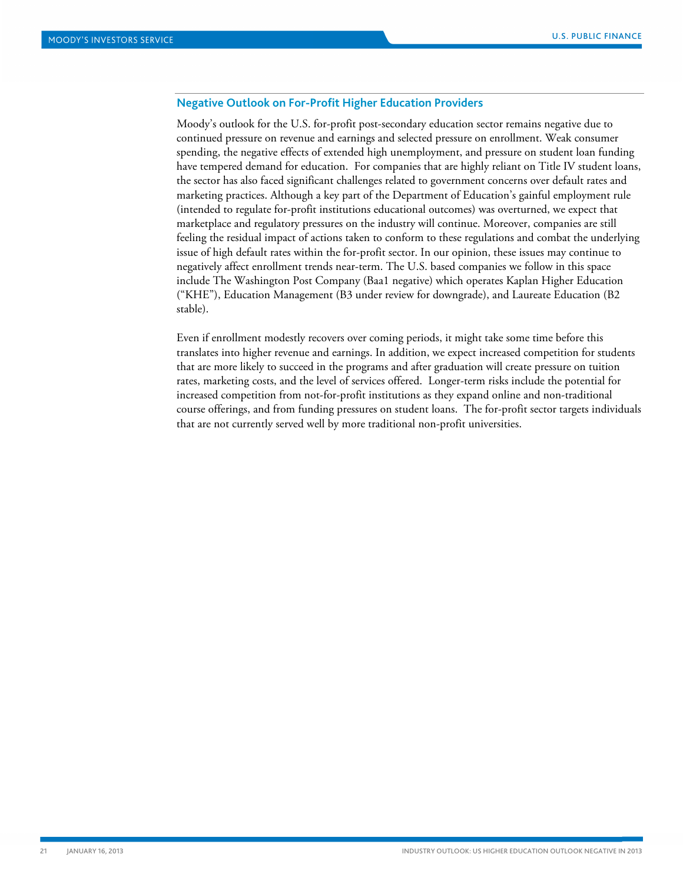## **Negative Outlook on For-Profit Higher Education Providers**

Moody's outlook for the U.S. for-profit post-secondary education sector remains negative due to continued pressure on revenue and earnings and selected pressure on enrollment. Weak consumer spending, the negative effects of extended high unemployment, and pressure on student loan funding have tempered demand for education. For companies that are highly reliant on Title IV student loans, the sector has also faced significant challenges related to government concerns over default rates and marketing practices. Although a key part of the Department of Education's gainful employment rule (intended to regulate for-profit institutions educational outcomes) was overturned, we expect that marketplace and regulatory pressures on the industry will continue. Moreover, companies are still feeling the residual impact of actions taken to conform to these regulations and combat the underlying issue of high default rates within the for-profit sector. In our opinion, these issues may continue to negatively affect enrollment trends near-term. The U.S. based companies we follow in this space include The Washington Post Company (Baa1 negative) which operates Kaplan Higher Education ("KHE"), Education Management (B3 under review for downgrade), and Laureate Education (B2 stable).

Even if enrollment modestly recovers over coming periods, it might take some time before this translates into higher revenue and earnings. In addition, we expect increased competition for students that are more likely to succeed in the programs and after graduation will create pressure on tuition rates, marketing costs, and the level of services offered. Longer-term risks include the potential for increased competition from not-for-profit institutions as they expand online and non-traditional course offerings, and from funding pressures on student loans. The for-profit sector targets individuals that are not currently served well by more traditional non-profit universities.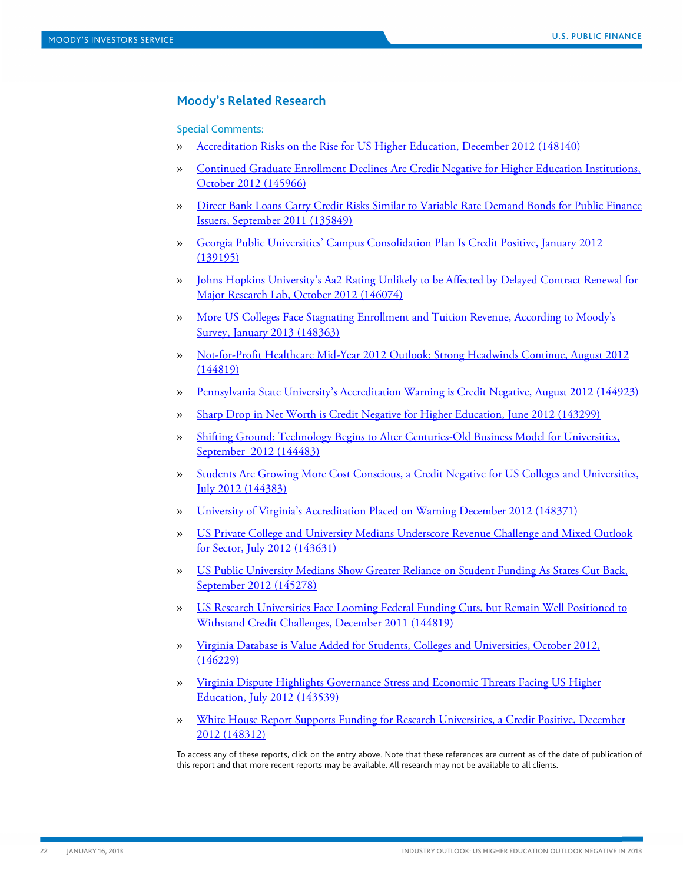## <span id="page-21-0"></span>**Moody's Related Research**

Special Comments:

- » [Accreditation Risks on the Rise for US Higher Education, December 2012 \(148140\)](http://www.moodys.com/viewresearchdoc.aspx?docid=PBM_PBM148140)
- » [Continued Graduate Enrollment Declines Are Credit Negative for Higher Education Institutions,](http://www.moodys.com/viewresearchdoc.aspx?docid=PBM_PBM145966)  [October 2012 \(145966\)](http://www.moodys.com/viewresearchdoc.aspx?docid=PBM_PBM145966)
- » [Direct Bank Loans Carry Credit Risks Similar to Variable Rate Demand Bonds for Public Finance](http://www.moodys.com/viewresearchdoc.aspx?docid=PBM_PBM135849)  [Issuers, September 2011 \(135849\)](http://www.moodys.com/viewresearchdoc.aspx?docid=PBM_PBM135849)
- » [Georgia Public Universities' Campus Consolidation Plan Is Credit Positive, January 2012](http://www.moodys.com/viewresearchdoc.aspx?docid=PBM_PBM139195)  [\(139195\)](http://www.moodys.com/viewresearchdoc.aspx?docid=PBM_PBM139195)
- » [Johns Hopkins University's Aa2 Rating Unlikely to be Affected by Delayed Contract Renewal for](http://www.moodys.com/viewresearchdoc.aspx?docid=PBM_PBM146074)  [Major Research Lab, October 2012 \(146074\)](http://www.moodys.com/viewresearchdoc.aspx?docid=PBM_PBM146074)
- » [More US Colleges Face Stagnating Enrollment and Tuition Revenue, According to Moody's](http://www.moodys.com/viewresearchdoc.aspx?docid=PBM_PBM148363)  [Survey, January 2013 \(148363\)](http://www.moodys.com/viewresearchdoc.aspx?docid=PBM_PBM148363)
- » [Not-for-Profit Healthcare Mid-Year 2012 Outlook: Strong Headwinds Continue, August 2012](http://www.moodys.com/viewresearchdoc.aspx?docid=PBM_PBM144819)  [\(144819\)](http://www.moodys.com/viewresearchdoc.aspx?docid=PBM_PBM144819)
- » [Pennsylvania State University's Accreditation Warning is Credit Negative,](http://www.moodys.com/viewresearchdoc.aspx?docid=PBM_PBM144923) August 2012 (144923)
- » [Sharp Drop in Net Worth is Credit Negative for Higher Education, June 2012 \(143299\)](http://www.moodys.com/viewresearchdoc.aspx?docid=PBM_PBM143299)
- » [Shifting Ground: Technology Begins to Alter Centuries-Old Business Model for Universities,](http://www.moodys.com/viewresearchdoc.aspx?docid=PBM_PBM144483)  [September 2012 \(144483\)](http://www.moodys.com/viewresearchdoc.aspx?docid=PBM_PBM144483)
- » [Students Are Growing More Cost Conscious, a Credit Negative for US Colleges and Universities,](http://www.moodys.com/viewresearchdoc.aspx?docid=PBM_PBM144383)  [July 2012 \(144383\)](http://www.moodys.com/viewresearchdoc.aspx?docid=PBM_PBM144383)
- » [University of Virginia's Accreditation Placed on Warning December 2012 \(148371\)](http://www.moodys.com/viewresearchdoc.aspx?docid=PBM_PBM148371)
- » [US Private College and University Medians Underscore Revenue Challenge and Mixed Outlook](http://www.moodys.com/viewresearchdoc.aspx?docid=PBM_PBM143631)  [for Sector, July 2012 \(143631\)](http://www.moodys.com/viewresearchdoc.aspx?docid=PBM_PBM143631)
- » [US Public University Medians Show Greater Reliance on Student Funding As States Cut Back,](http://www.moodys.com/viewresearchdoc.aspx?docid=PBM_PBM145278)  [September 2012 \(145278\)](http://www.moodys.com/viewresearchdoc.aspx?docid=PBM_PBM145278)
- » [US Research Universities Face Looming Federal Funding Cuts, but Remain Well Positioned to](http://www.moodys.com/viewresearchdoc.aspx?docid=PBM_PBM144819)  [Withstand Credit Challenges, December 2011 \(144819\)](http://www.moodys.com/viewresearchdoc.aspx?docid=PBM_PBM144819)
- » [Virginia Database is Value Added for Students, Colleges and Universities, October 2012,](http://www.moodys.com/viewresearchdoc.aspx?docid=PBM_PBM146229)  [\(146229\)](http://www.moodys.com/viewresearchdoc.aspx?docid=PBM_PBM146229)
- » [Virginia Dispute Highlights Governance Stress and Economic Threats Facing US Higher](http://www.moodys.com/viewresearchdoc.aspx?docid=PBM_PBM143539)  [Education, July 2012 \(143539\)](http://www.moodys.com/viewresearchdoc.aspx?docid=PBM_PBM143539)
- » [White House Report Supports Funding for Research Universities, a Credit Positive, December](http://www.moodys.com/viewresearchdoc.aspx?docid=PBM_PBM148312)  [2012 \(148312\)](http://www.moodys.com/viewresearchdoc.aspx?docid=PBM_PBM148312)

To access any of these reports, click on the entry above. Note that these references are current as of the date of publication of this report and that more recent reports may be available. All research may not be available to all clients.